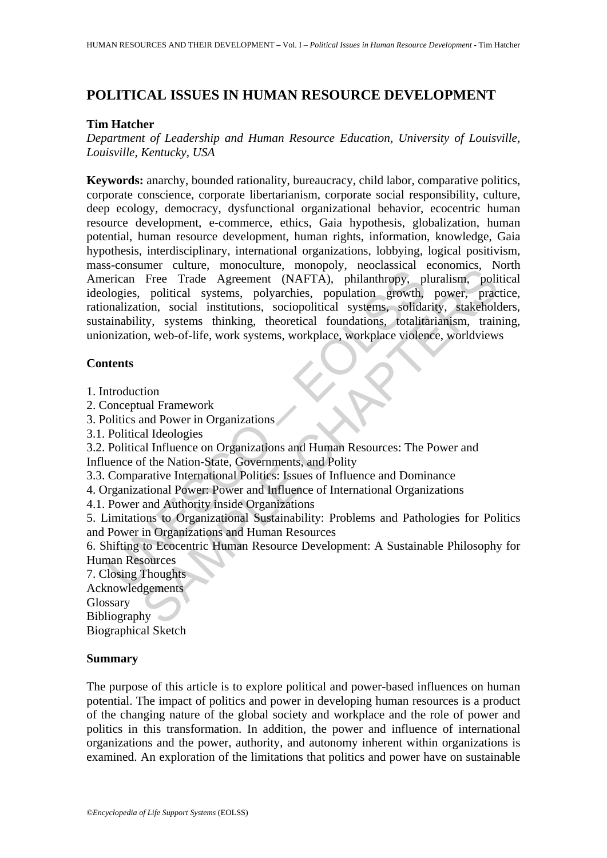# **POLITICAL ISSUES IN HUMAN RESOURCE DEVELOPMENT**

#### **Tim Hatcher**

*Department of Leadership and Human Resource Education, University of Louisville, Louisville, Kentucky, USA* 

Formal Canadian Controllation (MAFTA), minimalny, minimalny, minimalny, minimalny, pilogies, political systems, polyarchies, population growth, phaliathropy, pilogies, political systems, polyarchies, population growth, pha Free Trade Agreement (NAFTA), philanthropy, necessare conomies, recession<br>Free Trade Agreement (NAFTA), philanthropy, pluralism, political systems, polyarchies, population growth, power, praction, social institutions, soci **Keywords:** anarchy, bounded rationality, bureaucracy, child labor, comparative politics, corporate conscience, corporate libertarianism, corporate social responsibility, culture, deep ecology, democracy, dysfunctional organizational behavior, ecocentric human resource development, e-commerce, ethics, Gaia hypothesis, globalization, human potential, human resource development, human rights, information, knowledge, Gaia hypothesis, interdisciplinary, international organizations, lobbying, logical positivism, mass-consumer culture, monoculture, monopoly, neoclassical economics, North American Free Trade Agreement (NAFTA), philanthropy, pluralism, political ideologies, political systems, polyarchies, population growth, power, practice, rationalization, social institutions, sociopolitical systems, solidarity, stakeholders, sustainability, systems thinking, theoretical foundations, totalitarianism, training, unionization, web-of-life, work systems, workplace, workplace violence, worldviews

#### **Contents**

1. Introduction

- 2. Conceptual Framework
- 3. Politics and Power in Organizations
- 3.1. Political Ideologies

3.2. Political Influence on Organizations and Human Resources: The Power and

Influence of the Nation-State, Governments, and Polity

3.3. Comparative International Politics: Issues of Influence and Dominance

4. Organizational Power: Power and Influence of International Organizations

4.1. Power and Authority inside Organizations

5. Limitations to Organizational Sustainability: Problems and Pathologies for Politics and Power in Organizations and Human Resources

6. Shifting to Ecocentric Human Resource Development: A Sustainable Philosophy for Human Resources

7. Closing Thoughts Acknowledgements Glossary

Bibliography Biographical Sketch

#### **Summary**

The purpose of this article is to explore political and power-based influences on human potential. The impact of politics and power in developing human resources is a product of the changing nature of the global society and workplace and the role of power and politics in this transformation. In addition, the power and influence of international organizations and the power, authority, and autonomy inherent within organizations is examined. An exploration of the limitations that politics and power have on sustainable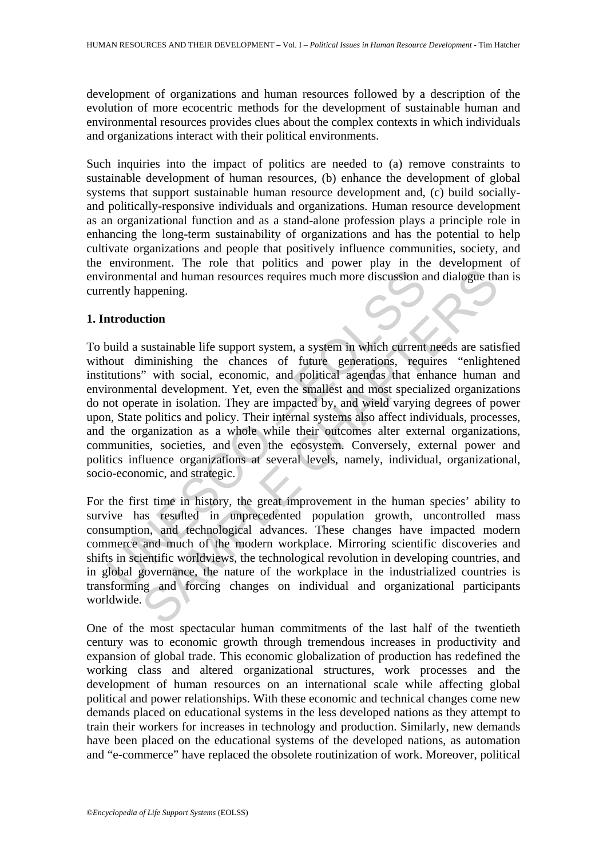development of organizations and human resources followed by a description of the evolution of more ecocentric methods for the development of sustainable human and environmental resources provides clues about the complex contexts in which individuals and organizations interact with their political environments.

Such inquiries into the impact of politics are needed to (a) remove constraints to sustainable development of human resources, (b) enhance the development of global systems that support sustainable human resource development and, (c) build sociallyand politically-responsive individuals and organizations. Human resource development as an organizational function and as a stand-alone profession plays a principle role in enhancing the long-term sustainability of organizations and has the potential to help cultivate organizations and people that positively influence communities, society, and the environment. The role that politics and power play in the development of environmental and human resources requires much more discussion and dialogue than is currently happening.

### **1. Introduction**

ir commental and human resources requires much more discussion a<br>ently happening.<br>
artroduction<br>
and a sustainable life support system, a system in which current<br>
nout diminishing the chances of future generations, requ<br>
t and a human resources requires much more discussion and dialogue the appening.<br>
statainable life support system, a system in which current needs are satis-<br>
immishing the chances of future generations, requires "enlighted To build a sustainable life support system, a system in which current needs are satisfied without diminishing the chances of future generations, requires "enlightened institutions" with social, economic, and political agendas that enhance human and environmental development. Yet, even the smallest and most specialized organizations do not operate in isolation. They are impacted by, and wield varying degrees of power upon, State politics and policy. Their internal systems also affect individuals, processes, and the organization as a whole while their outcomes alter external organizations, communities, societies, and even the ecosystem. Conversely, external power and politics influence organizations at several levels, namely, individual, organizational, socio-economic, and strategic.

For the first time in history, the great improvement in the human species' ability to survive has resulted in unprecedented population growth, uncontrolled mass consumption, and technological advances. These changes have impacted modern commerce and much of the modern workplace. Mirroring scientific discoveries and shifts in scientific worldviews, the technological revolution in developing countries, and in global governance, the nature of the workplace in the industrialized countries is transforming and forcing changes on individual and organizational participants worldwide.

One of the most spectacular human commitments of the last half of the twentieth century was to economic growth through tremendous increases in productivity and expansion of global trade. This economic globalization of production has redefined the working class and altered organizational structures, work processes and the development of human resources on an international scale while affecting global political and power relationships. With these economic and technical changes come new demands placed on educational systems in the less developed nations as they attempt to train their workers for increases in technology and production. Similarly, new demands have been placed on the educational systems of the developed nations, as automation and "e-commerce" have replaced the obsolete routinization of work. Moreover, political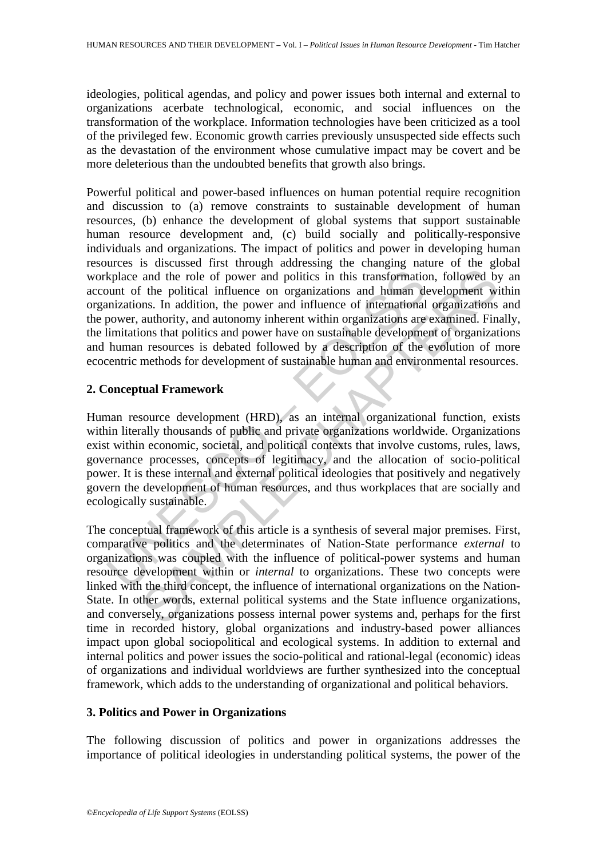ideologies, political agendas, and policy and power issues both internal and external to organizations acerbate technological, economic, and social influences on the transformation of the workplace. Information technologies have been criticized as a tool of the privileged few. Economic growth carries previously unsuspected side effects such as the devastation of the environment whose cumulative impact may be covert and be more deleterious than the undoubted benefits that growth also brings.

kplace and the role of power and politics in this transformatio<br>
uunt of the political influence on organizations and human du<br>
mizations. In addition, the power and influence of international<br>
numiations that politics and Powerful political and power-based influences on human potential require recognition and discussion to (a) remove constraints to sustainable development of human resources, (b) enhance the development of global systems that support sustainable human resource development and, (c) build socially and politically-responsive individuals and organizations. The impact of politics and power in developing human resources is discussed first through addressing the changing nature of the global workplace and the role of power and politics in this transformation, followed by an account of the political influence on organizations and human development within organizations. In addition, the power and influence of international organizations and the power, authority, and autonomy inherent within organizations are examined. Finally, the limitations that politics and power have on sustainable development of organizations and human resources is debated followed by a description of the evolution of more ecocentric methods for development of sustainable human and environmental resources.

# **2. Conceptual Framework**

Human resource development (HRD), as an internal organizational function, exists within literally thousands of public and private organizations worldwide. Organizations exist within economic, societal, and political contexts that involve customs, rules, laws, governance processes, concepts of legitimacy, and the allocation of socio-political power. It is these internal and external political ideologies that positively and negatively govern the development of human resources, and thus workplaces that are socially and ecologically sustainable.

and the role of power and politics in this transformation, followed by<br>the political influence on organizations and human development wins.<br>In addition, the power and piffuence of international organizations<br>and human str The conceptual framework of this article is a synthesis of several major premises. First, comparative politics and the determinates of Nation-State performance *external* to organizations was coupled with the influence of political-power systems and human resource development within or *internal* to organizations. These two concepts were linked with the third concept, the influence of international organizations on the Nation-State. In other words, external political systems and the State influence organizations, and conversely, organizations possess internal power systems and, perhaps for the first time in recorded history, global organizations and industry-based power alliances impact upon global sociopolitical and ecological systems. In addition to external and internal politics and power issues the socio-political and rational-legal (economic) ideas of organizations and individual worldviews are further synthesized into the conceptual framework, which adds to the understanding of organizational and political behaviors.

# **3. Politics and Power in Organizations**

The following discussion of politics and power in organizations addresses the importance of political ideologies in understanding political systems, the power of the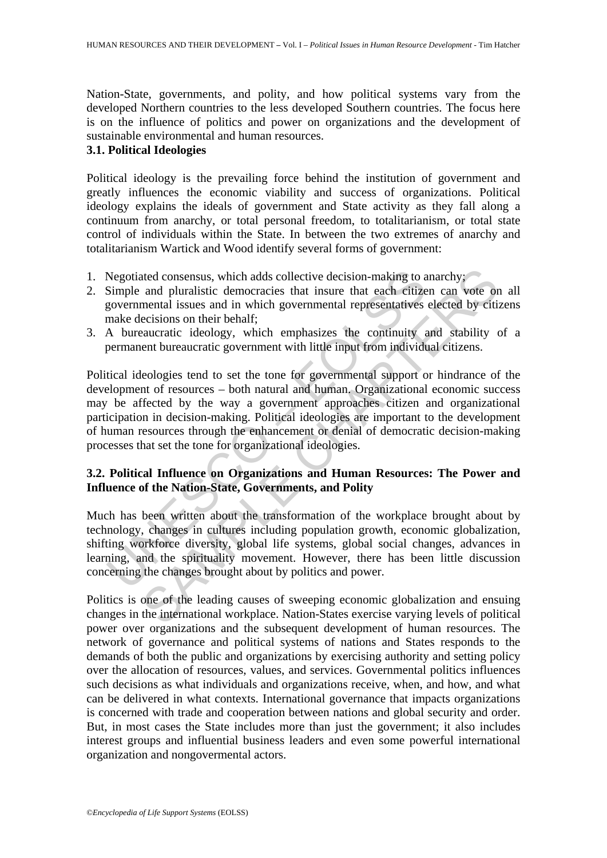Nation-State, governments, and polity, and how political systems vary from the developed Northern countries to the less developed Southern countries. The focus here is on the influence of politics and power on organizations and the development of sustainable environmental and human resources.

# **3.1. Political Ideologies**

Political ideology is the prevailing force behind the institution of government and greatly influences the economic viability and success of organizations. Political ideology explains the ideals of government and State activity as they fall along a continuum from anarchy, or total personal freedom, to totalitarianism, or total state control of individuals within the State. In between the two extremes of anarchy and totalitarianism Wartick and Wood identify several forms of government:

- 1. Negotiated consensus, which adds collective decision-making to anarchy;
- 2. Simple and pluralistic democracies that insure that each citizen can vote on all governmental issues and in which governmental representatives elected by citizens make decisions on their behalf;
- 3. A bureaucratic ideology, which emphasizes the continuity and stability of a permanent bureaucratic government with little input from individual citizens.

Negotiated consensus, which adds collective decision-making to a<br>Simple and pluralistic democracies that insure that each citize<br>governmental issues and in which governmental representatives<br>make decisions on their behalf; ated consensus, which adds collective decision-making to anarchy;<br>and pluralistic democracies that insure that each citizen can vote on<br>mental issues and in which governmental representatives elected by citi-<br>ecisions on t Political ideologies tend to set the tone for governmental support or hindrance of the development of resources – both natural and human. Organizational economic success may be affected by the way a government approaches citizen and organizational participation in decision-making. Political ideologies are important to the development of human resources through the enhancement or denial of democratic decision-making processes that set the tone for organizational ideologies.

# **3.2. Political Influence on Organizations and Human Resources: The Power and Influence of the Nation-State, Governments, and Polity**

Much has been written about the transformation of the workplace brought about by technology, changes in cultures including population growth, economic globalization, shifting workforce diversity, global life systems, global social changes, advances in learning, and the spirituality movement. However, there has been little discussion concerning the changes brought about by politics and power.

Politics is one of the leading causes of sweeping economic globalization and ensuing changes in the international workplace. Nation-States exercise varying levels of political power over organizations and the subsequent development of human resources. The network of governance and political systems of nations and States responds to the demands of both the public and organizations by exercising authority and setting policy over the allocation of resources, values, and services. Governmental politics influences such decisions as what individuals and organizations receive, when, and how, and what can be delivered in what contexts. International governance that impacts organizations is concerned with trade and cooperation between nations and global security and order. But, in most cases the State includes more than just the government; it also includes interest groups and influential business leaders and even some powerful international organization and nongovermental actors.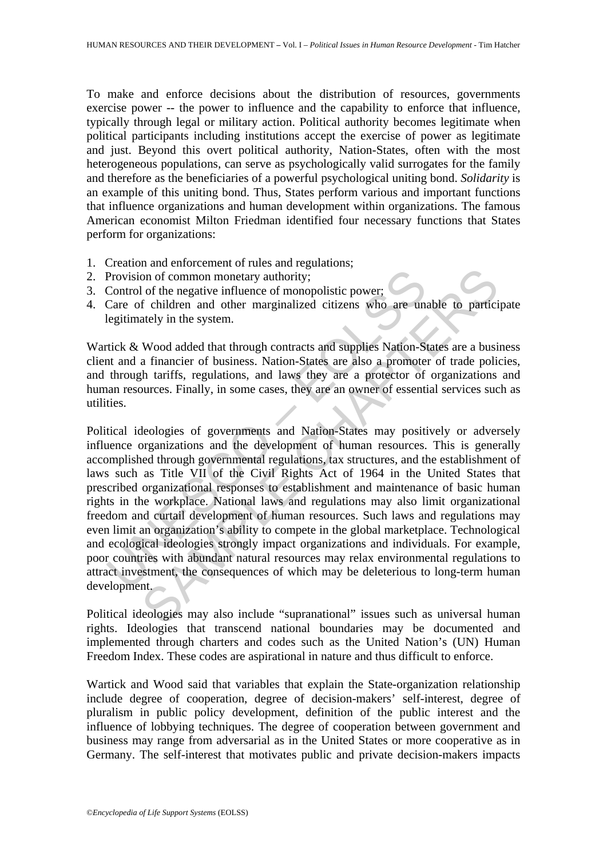To make and enforce decisions about the distribution of resources, governments exercise power -- the power to influence and the capability to enforce that influence, typically through legal or military action. Political authority becomes legitimate when political participants including institutions accept the exercise of power as legitimate and just. Beyond this overt political authority, Nation-States, often with the most heterogeneous populations, can serve as psychologically valid surrogates for the family and therefore as the beneficiaries of a powerful psychological uniting bond. *Solidarity* is an example of this uniting bond. Thus, States perform various and important functions that influence organizations and human development within organizations. The famous American economist Milton Friedman identified four necessary functions that States perform for organizations:

- 1. Creation and enforcement of rules and regulations;
- 2. Provision of common monetary authority;
- 3. Control of the negative influence of monopolistic power;
- 4. Care of children and other marginalized citizens who are unable to participate legitimately in the system.

Wartick & Wood added that through contracts and supplies Nation-States are a business client and a financier of business. Nation-States are also a promoter of trade policies, and through tariffs, regulations, and laws they are a protector of organizations and human resources. Finally, in some cases, they are an owner of essential services such as utilities.

Provision of common monetary authority;<br>Control of the negative influence of monopolistic power;<br>Care of children and other marginalized citizens who are unique<br>integritimately in the system.<br>tick & Wood added that through on of common monetary authority;<br>on of common monetary authority;<br>on of common monetary authority;<br>f children and other marginalized citizens who are unable to partici<br>ately in the system.<br>Wood added that through contracts Political ideologies of governments and Nation-States may positively or adversely influence organizations and the development of human resources. This is generally accomplished through governmental regulations, tax structures, and the establishment of laws such as Title VII of the Civil Rights Act of 1964 in the United States that prescribed organizational responses to establishment and maintenance of basic human rights in the workplace. National laws and regulations may also limit organizational freedom and curtail development of human resources. Such laws and regulations may even limit an organization's ability to compete in the global marketplace. Technological and ecological ideologies strongly impact organizations and individuals. For example, poor countries with abundant natural resources may relax environmental regulations to attract investment, the consequences of which may be deleterious to long-term human development.

Political ideologies may also include "supranational" issues such as universal human rights. Ideologies that transcend national boundaries may be documented and implemented through charters and codes such as the United Nation's (UN) Human Freedom Index. These codes are aspirational in nature and thus difficult to enforce.

Wartick and Wood said that variables that explain the State-organization relationship include degree of cooperation, degree of decision-makers' self-interest, degree of pluralism in public policy development, definition of the public interest and the influence of lobbying techniques. The degree of cooperation between government and business may range from adversarial as in the United States or more cooperative as in Germany. The self-interest that motivates public and private decision-makers impacts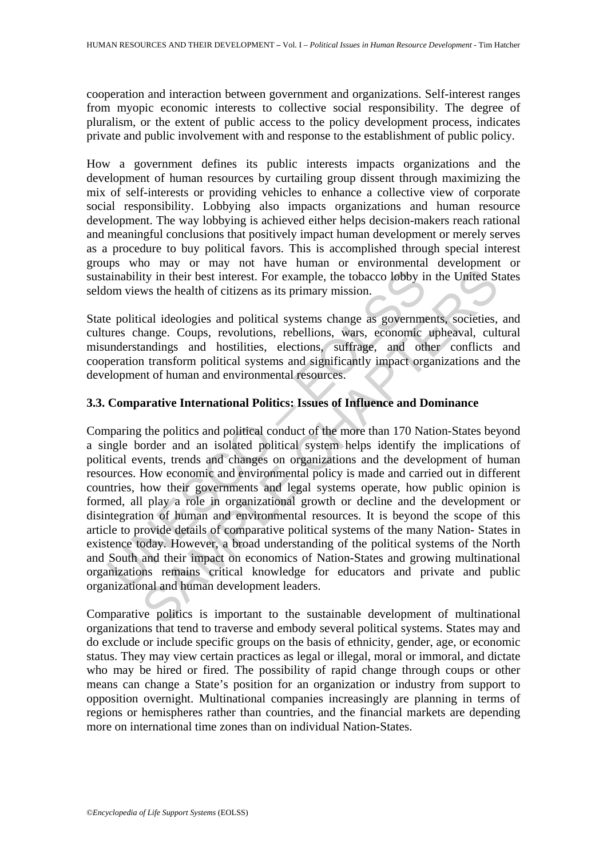cooperation and interaction between government and organizations. Self-interest ranges from myopic economic interests to collective social responsibility. The degree of pluralism, or the extent of public access to the policy development process, indicates private and public involvement with and response to the establishment of public policy.

How a government defines its public interests impacts organizations and the development of human resources by curtailing group dissent through maximizing the mix of self-interests or providing vehicles to enhance a collective view of corporate social responsibility. Lobbying also impacts organizations and human resource development. The way lobbying is achieved either helps decision-makers reach rational and meaningful conclusions that positively impact human development or merely serves as a procedure to buy political favors. This is accomplished through special interest groups who may or may not have human or environmental development or sustainability in their best interest. For example, the tobacco lobby in the United States seldom views the health of citizens as its primary mission.

State political ideologies and political systems change as governments, societies, and cultures change. Coups, revolutions, rebellions, wars, economic upheaval, cultural misunderstandings and hostilities, elections, suffrage, and other conflicts and cooperation transform political systems and significantly impact organizations and the development of human and environmental resources.

### **3.3. Comparative International Politics: Issues of Influence and Dominance**

ainability in their best interest. For example, the tobacco lobby in<br>om views the health of citizens as its primary mission.<br>
e political ideologies and political systems change as governme<br>
ersechange. Coups, revolutions, ity in their best interest. For example, the tobacco lobby in the United St<br>with their best interest. For example, the tobacco lobby in the United St<br>ws the health of citizens as its primary mission.<br>Cal ideologies and pol Comparing the politics and political conduct of the more than 170 Nation-States beyond a single border and an isolated political system helps identify the implications of political events, trends and changes on organizations and the development of human resources. How economic and environmental policy is made and carried out in different countries, how their governments and legal systems operate, how public opinion is formed, all play a role in organizational growth or decline and the development or disintegration of human and environmental resources. It is beyond the scope of this article to provide details of comparative political systems of the many Nation- States in existence today. However, a broad understanding of the political systems of the North and South and their impact on economics of Nation-States and growing multinational organizations remains critical knowledge for educators and private and public organizational and human development leaders.

Comparative politics is important to the sustainable development of multinational organizations that tend to traverse and embody several political systems. States may and do exclude or include specific groups on the basis of ethnicity, gender, age, or economic status. They may view certain practices as legal or illegal, moral or immoral, and dictate who may be hired or fired. The possibility of rapid change through coups or other means can change a State's position for an organization or industry from support to opposition overnight. Multinational companies increasingly are planning in terms of regions or hemispheres rather than countries, and the financial markets are depending more on international time zones than on individual Nation-States.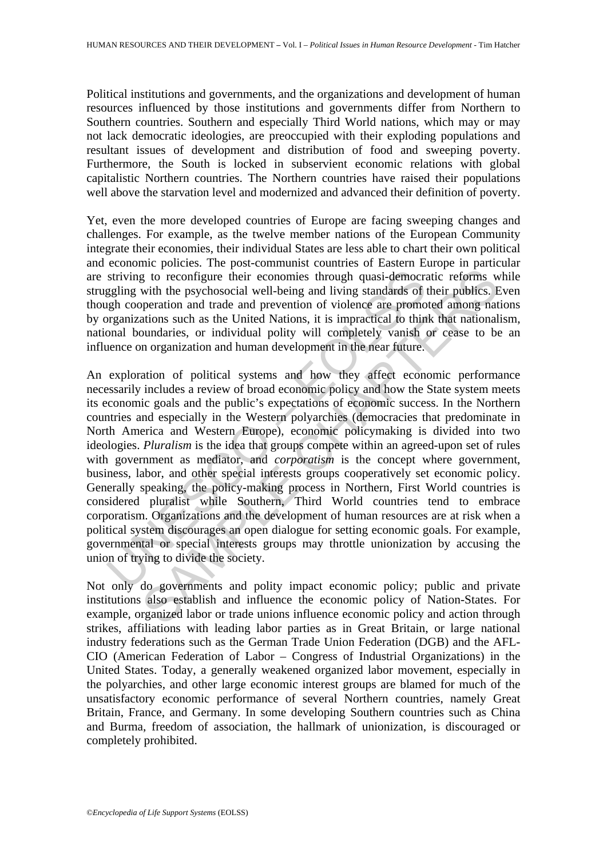Political institutions and governments, and the organizations and development of human resources influenced by those institutions and governments differ from Northern to Southern countries. Southern and especially Third World nations, which may or may not lack democratic ideologies, are preoccupied with their exploding populations and resultant issues of development and distribution of food and sweeping poverty. Furthermore, the South is locked in subservient economic relations with global capitalistic Northern countries. The Northern countries have raised their populations well above the starvation level and modernized and advanced their definition of poverty.

Yet, even the more developed countries of Europe are facing sweeping changes and challenges. For example, as the twelve member nations of the European Community integrate their economies, their individual States are less able to chart their own political and economic policies. The post-communist countries of Eastern Europe in particular are striving to reconfigure their economies through quasi-democratic reforms while struggling with the psychosocial well-being and living standards of their publics. Even though cooperation and trade and prevention of violence are promoted among nations by organizations such as the United Nations, it is impractical to think that nationalism, national boundaries, or individual polity will completely vanish or cease to be an influence on organization and human development in the near future.

striving to reconfigure their economies through quasi-democration endingly with the psychosocial well-being and living standards of righ cooperation and trade and prevention of violence are promorganizations such as the Un is to reconfigure their economies through quasi-democratic reforms with the psychosocial well-being and living standards of their publics. Entimation and tracted and prevention of violence are promoted among nations such a An exploration of political systems and how they affect economic performance necessarily includes a review of broad economic policy and how the State system meets its economic goals and the public's expectations of economic success. In the Northern countries and especially in the Western polyarchies (democracies that predominate in North America and Western Europe), economic policymaking is divided into two ideologies. *Pluralism* is the idea that groups compete within an agreed-upon set of rules with government as mediator, and *corporatism* is the concept where government, business, labor, and other special interests groups cooperatively set economic policy. Generally speaking, the policy-making process in Northern, First World countries is considered pluralist while Southern, Third World countries tend to embrace corporatism. Organizations and the development of human resources are at risk when a political system discourages an open dialogue for setting economic goals. For example, governmental or special interests groups may throttle unionization by accusing the union of trying to divide the society.

Not only do governments and polity impact economic policy; public and private institutions also establish and influence the economic policy of Nation-States. For example, organized labor or trade unions influence economic policy and action through strikes, affiliations with leading labor parties as in Great Britain, or large national industry federations such as the German Trade Union Federation (DGB) and the AFL-CIO (American Federation of Labor – Congress of Industrial Organizations) in the United States. Today, a generally weakened organized labor movement, especially in the polyarchies, and other large economic interest groups are blamed for much of the unsatisfactory economic performance of several Northern countries, namely Great Britain, France, and Germany. In some developing Southern countries such as China and Burma, freedom of association, the hallmark of unionization, is discouraged or completely prohibited.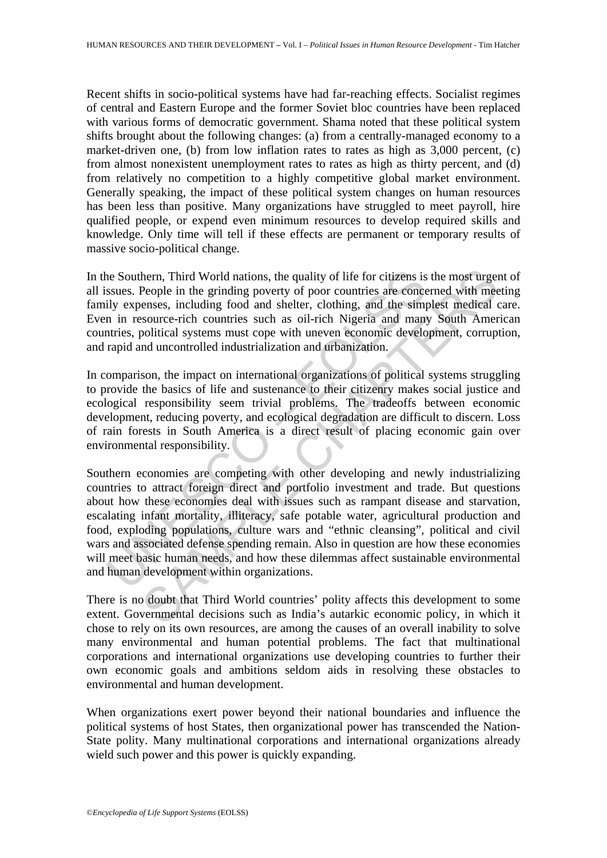Recent shifts in socio-political systems have had far-reaching effects. Socialist regimes of central and Eastern Europe and the former Soviet bloc countries have been replaced with various forms of democratic government. Shama noted that these political system shifts brought about the following changes: (a) from a centrally-managed economy to a market-driven one, (b) from low inflation rates to rates as high as 3,000 percent, (c) from almost nonexistent unemployment rates to rates as high as thirty percent, and (d) from relatively no competition to a highly competitive global market environment. Generally speaking, the impact of these political system changes on human resources has been less than positive. Many organizations have struggled to meet payroll, hire qualified people, or expend even minimum resources to develop required skills and knowledge. Only time will tell if these effects are permanent or temporary results of massive socio-political change.

In the Southern, Third World nations, the quality of life for citizens is the most urgent of all issues. People in the grinding poverty of poor countries are concerned with meeting family expenses, including food and shelter, clothing, and the simplest medical care. Even in resource-rich countries such as oil-rich Nigeria and many South American countries, political systems must cope with uneven economic development, corruption, and rapid and uncontrolled industrialization and urbanization.

In comparison, the impact on international organizations of political systems struggling to provide the basics of life and sustenance to their citizenry makes social justice and ecological responsibility seem trivial problems. The tradeoffs between economic development, reducing poverty, and ecological degradation are difficult to discern. Loss of rain forests in South America is a direct result of placing economic gain over environmental responsibility.

he Southern, Third World nations, the quality of life for citizens is suses. People in the grinding poverty of poor countries are conce<br>ily expenses, including food and shelter, clothing, and the simplem in in resource-ric hern, Third World nations, the quality of life for citizens is the most urge<br>People in the grinding poverty of poor countries are concerned with meenses, including food and shelter, clothing, and the simplest medical<br>essou Southern economies are competing with other developing and newly industrializing countries to attract foreign direct and portfolio investment and trade. But questions about how these economies deal with issues such as rampant disease and starvation, escalating infant mortality, illiteracy, safe potable water, agricultural production and food, exploding populations, culture wars and "ethnic cleansing", political and civil wars and associated defense spending remain. Also in question are how these economies will meet basic human needs, and how these dilemmas affect sustainable environmental and human development within organizations.

There is no doubt that Third World countries' polity affects this development to some extent. Governmental decisions such as India's autarkic economic policy, in which it chose to rely on its own resources, are among the causes of an overall inability to solve many environmental and human potential problems. The fact that multinational corporations and international organizations use developing countries to further their own economic goals and ambitions seldom aids in resolving these obstacles to environmental and human development.

When organizations exert power beyond their national boundaries and influence the political systems of host States, then organizational power has transcended the Nation-State polity. Many multinational corporations and international organizations already wield such power and this power is quickly expanding.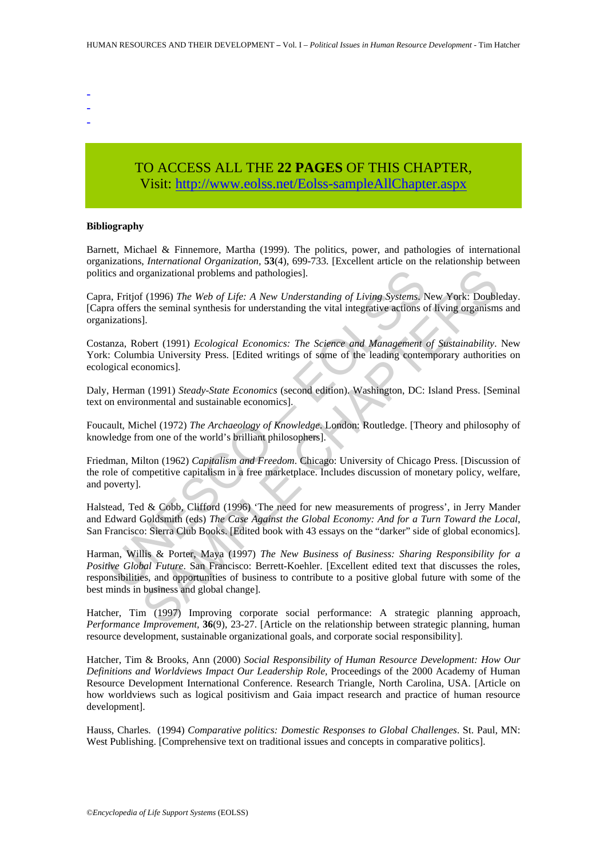- -
- -
- -

# TO ACCESS ALL THE **22 PAGES** OF THIS CHAPTER, Visit[: http://www.eolss.net/Eolss-sampleAllChapter.aspx](https://www.eolss.net/ebooklib/sc_cart.aspx?File=E1-10-01-03)

#### **Bibliography**

Barnett, Michael & Finnemore, Martha (1999). The politics, power, and pathologies of international organizations, *International Organization,* **53**(4), 699-733. [Excellent article on the relationship between politics and organizational problems and pathologies].

Capra, Fritjof (1996) *The Web of Life: A New Understanding of Living Systems*. New York: Doubleday. [Capra offers the seminal synthesis for understanding the vital integrative actions of living organisms and organizations].

Costanza, Robert (1991) *Ecological Economics: The Science and Management of Sustainability*. New York: Columbia University Press. [Edited writings of some of the leading contemporary authorities on ecological economics].

Daly, Herman (1991) *Steady-State Economics* (second edition). Washington, DC: Island Press. [Seminal text on environmental and sustainable economics].

Foucault, Michel (1972) *The Archaeology of Knowledge*. London: Routledge. [Theory and philosophy of knowledge from one of the world's brilliant philosophers].

Friedman, Milton (1962) *Capitalism and Freedom*. Chicago: University of Chicago Press. [Discussion of the role of competitive capitalism in a free marketplace. Includes discussion of monetary policy, welfare, and poverty].

Halstead, Ted & Cobb, Clifford (1996) 'The need for new measurements of progress', in Jerry Mander and Edward Goldsmith (eds) *The Case Against the Global Economy: And for a Turn Toward the Local*, San Francisco: Sierra Club Books. [Edited book with 43 essays on the "darker" side of global economics].

ics and organizational problems and pathologies].<br>
a, Fritjof (1996) The Web of Life: A New Understanding of Living Systems, N<br>
a offers the seminal synthesis for understanding the vital integrative actions o<br>
inzations].<br> organizational problems and pathologies].<br>
If (1996) The Web of Life: A New Understanding of Living Systems, New York: Doublish the seminal synthesis for understanding the vital integrative actions of living organism.<br>
1.<br> Harman, Willis & Porter, Maya (1997) *The New Business of Business: Sharing Responsibility for a Positive Global Future*. San Francisco: Berrett-Koehler. [Excellent edited text that discusses the roles, responsibilities, and opportunities of business to contribute to a positive global future with some of the best minds in business and global change].

Hatcher, Tim (1997) Improving corporate social performance: A strategic planning approach, *Performance Improvement,* **36**(9), 23-27. [Article on the relationship between strategic planning, human resource development, sustainable organizational goals, and corporate social responsibility].

Hatcher, Tim & Brooks, Ann (2000) *Social Responsibility of Human Resource Development: How Our Definitions and Worldviews Impact Our Leadership Role,* Proceedings of the 2000 Academy of Human Resource Development International Conference. Research Triangle, North Carolina, USA. [Article on how worldviews such as logical positivism and Gaia impact research and practice of human resource development].

Hauss, Charles. (1994) *Comparative politics: Domestic Responses to Global Challenges*. St. Paul, MN: West Publishing. [Comprehensive text on traditional issues and concepts in comparative politics].